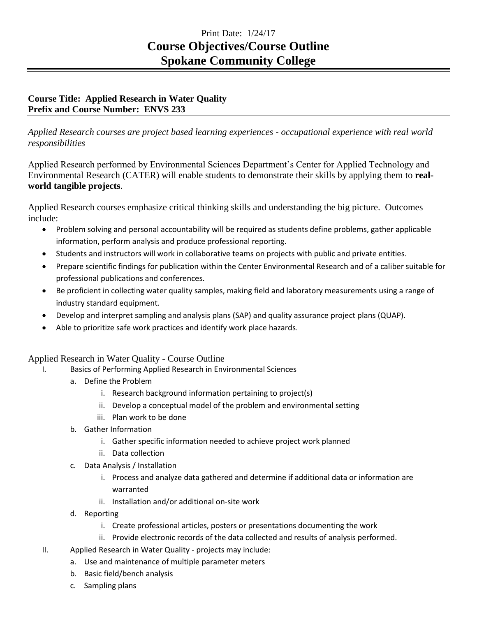## Print Date: 1/24/17 **Course Objectives/Course Outline Spokane Community College**

## **Course Title: Applied Research in Water Quality Prefix and Course Number: ENVS 233**

*Applied Research courses are project based learning experiences - occupational experience with real world responsibilities*

Applied Research performed by Environmental Sciences Department's Center for Applied Technology and Environmental Research (CATER) will enable students to demonstrate their skills by applying them to **realworld tangible projects**.

Applied Research courses emphasize critical thinking skills and understanding the big picture. Outcomes include:

- Problem solving and personal accountability will be required as students define problems, gather applicable information, perform analysis and produce professional reporting.
- Students and instructors will work in collaborative teams on projects with public and private entities.
- Prepare scientific findings for publication within the Center Environmental Research and of a caliber suitable for professional publications and conferences.
- Be proficient in collecting water quality samples, making field and laboratory measurements using a range of industry standard equipment.
- Develop and interpret sampling and analysis plans (SAP) and quality assurance project plans (QUAP).
- Able to prioritize safe work practices and identify work place hazards.

## Applied Research in Water Quality - Course Outline

- I. Basics of Performing Applied Research in Environmental Sciences
	- a. Define the Problem
		- i. Research background information pertaining to project(s)
		- ii. Develop a conceptual model of the problem and environmental setting
		- iii. Plan work to be done
	- b. Gather Information
		- i. Gather specific information needed to achieve project work planned
		- ii. Data collection
	- c. Data Analysis / Installation
		- i. Process and analyze data gathered and determine if additional data or information are warranted
		- ii. Installation and/or additional on-site work
	- d. Reporting
		- i. Create professional articles, posters or presentations documenting the work
		- ii. Provide electronic records of the data collected and results of analysis performed.
- II. Applied Research in Water Quality projects may include:
	- a. Use and maintenance of multiple parameter meters
	- b. Basic field/bench analysis
	- c. Sampling plans